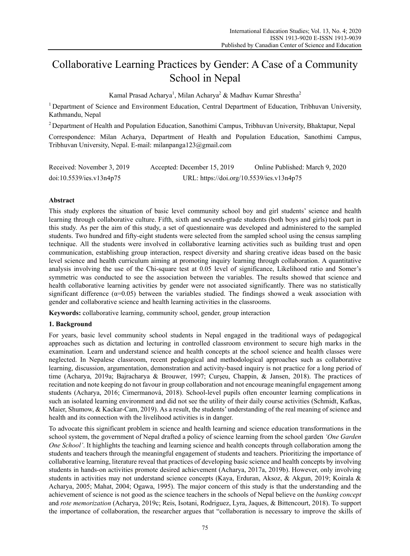# Collaborative Learning Practices by Gender: A Case of a Community School in Nepal

Kamal Prasad Acharya<sup>1</sup>, Milan Acharya<sup>2</sup> & Madhav Kumar Shrestha<sup>2</sup>

<sup>1</sup> Department of Science and Environment Education, Central Department of Education, Tribhuvan University, Kathmandu, Nepal

2 Department of Health and Population Education, Sanothimi Campus, Tribhuvan University, Bhaktapur, Nepal

Correspondence: Milan Acharya, Department of Health and Population Education, Sanothimi Campus, Tribhuvan University, Nepal. E-mail: milanpanga123@gmail.com

| Received: November 3, 2019 | Accepted: December 15, 2019               | Online Published: March 9, 2020 |
|----------------------------|-------------------------------------------|---------------------------------|
| doi:10.5539/ies.v13n4p75   | URL: https://doi.org/10.5539/ies.v13n4p75 |                                 |

# **Abstract**

This study explores the situation of basic level community school boy and girl students' science and health learning through collaborative culture. Fifth, sixth and seventh-grade students (both boys and girls) took part in this study. As per the aim of this study, a set of questionnaire was developed and administered to the sampled students. Two hundred and fifty-eight students were selected from the sampled school using the census sampling technique. All the students were involved in collaborative learning activities such as building trust and open communication, establishing group interaction, respect diversity and sharing creative ideas based on the basic level science and health curriculum aiming at promoting inquiry learning through collaboration. A quantitative analysis involving the use of the Chi-square test at 0.05 level of significance, Likelihood ratio and Somer's symmetric was conducted to see the association between the variables. The results showed that science and health collaborative learning activities by gender were not associated significantly. There was no statistically significant difference ( $\alpha$ =0.05) between the variables studied. The findings showed a weak association with gender and collaborative science and health learning activities in the classrooms.

**Keywords:** collaborative learning, community school, gender, group interaction

## **1. Background**

For years, basic level community school students in Nepal engaged in the traditional ways of pedagogical approaches such as dictation and lecturing in controlled classroom environment to secure high marks in the examination. Learn and understand science and health concepts at the school science and health classes were neglected. In Nepalese classroom, recent pedagogical and methodological approaches such as collaborative learning, discussion, argumentation, demonstration and activity-based inquiry is not practice for a long period of time (Acharya, 2019a; Bajracharya & Brouwer, 1997; Curşeu, Chappin, & Jansen, 2018). The practices of recitation and note keeping do not favour in group collaboration and not encourage meaningful engagement among students (Acharya, 2016; Cimermanová, 2018). School-level pupils often encounter learning complications in such an isolated learning environment and did not see the utility of their daily course activities (Schmidt, Kafkas, Maier, Shumow, & Kackar-Cam, 2019). As a result, the students' understanding of the real meaning of science and health and its connection with the livelihood activities is in danger.

To advocate this significant problem in science and health learning and science education transformations in the school system, the government of Nepal drafted a policy of science learning from the school garden *'One Garden One School'*. It highlights the teaching and learning science and health concepts through collaboration among the students and teachers through the meaningful engagement of students and teachers. Prioritizing the importance of collaborative learning, literature reveal that practices of developing basic science and health concepts by involving students in hands-on activities promote desired achievement (Acharya, 2017a, 2019b). However, only involving students in activities may not understand science concepts (Kaya, Erduran, Aksoz, & Akgun, 2019; Koirala & Acharya, 2005; Mahat, 2004; Ogawa, 1995). The major concern of this study is that the understanding and the achievement of science is not good as the science teachers in the schools of Nepal believe on the *banking concept*  and *rote memorization* (Acharya, 2019c; Reis, Isotani, Rodriguez, Lyra, Jaques, & Bittencourt, 2018). To support the importance of collaboration, the researcher argues that "collaboration is necessary to improve the skills of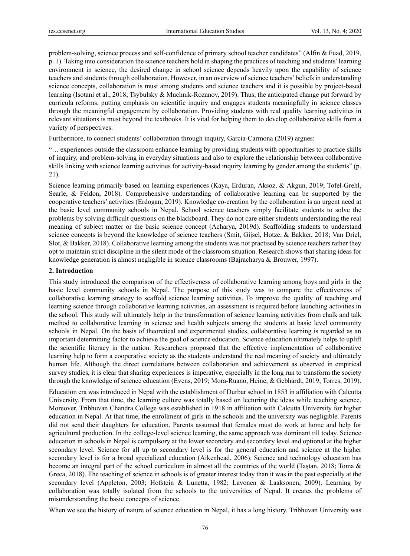problem-solving, science process and self-confidence of primary school teacher candidates" (Alfin & Fuad, 2019, p. 1). Taking into consideration the science teachers hold in shaping the practices of teaching and students' learning environment in science, the desired change in school science depends heavily upon the capability of science teachers and students through collaboration. However, in an overview of science teachers' beliefs in understanding science concepts, collaboration is must among students and science teachers and it is possible by project-based learning (Isotani et al., 2018; Tsybulsky & Muchnik-Rozanov, 2019). Thus, the anticipated change put forward by curricula reforms, putting emphasis on scientific inquiry and engages students meaningfully in science classes through the meaningful engagement by collaboration. Providing students with real quality learning activities in relevant situations is must beyond the textbooks. It is vital for helping them to develop collaborative skills from a variety of perspectives.

Furthermore, to connect students' collaboration through inquiry, Garcia-Carmona (2019) argues:

"… experiences outside the classroom enhance learning by providing students with opportunities to practice skills of inquiry, and problem-solving in everyday situations and also to explore the relationship between collaborative skills linking with science learning activities for activity-based inquiry learning by gender among the students" (p. 21).

Science learning primarily based on learning experiences (Kaya, Erduran, Aksoz, & Akgun, 2019; Tofel-Grehl, Searle, & Feldon, 2018). Comprehensive understanding of collaborative learning can be supported by the cooperative teachers' activities (Erdogan, 2019). Knowledge co-creation by the collaboration is an urgent need at the basic level community schools in Nepal. School science teachers simply facilitate students to solve the problems by solving difficult questions on the blackboard. They do not care either students understanding the real meaning of subject matter or the basic science concept (Acharya, 2019d). Scaffolding students to understand science concepts is beyond the knowledge of science teachers (Smit, Gijsel, Hotze, & Bakker, 2018; Van Driel, Slot, & Bakker, 2018). Collaborative learning among the students was not practised by science teachers rather they opt to maintain strict discipline in the silent mode of the classroom situation. Research shows that sharing ideas for knowledge generation is almost negligible in science classrooms (Bajracharya & Brouwer, 1997).

#### **2. Introduction**

This study introduced the comparison of the effectiveness of collaborative learning among boys and girls in the basic level community schools in Nepal. The purpose of this study was to compare the effectiveness of collaborative learning strategy to scaffold science learning activities. To improve the quality of teaching and learning science through collaborative learning activities, an assessment is required before launching activities in the school. This study will ultimately help in the transformation of science learning activities from chalk and talk method to collaborative learning in science and health subjects among the students at basic level community schools in Nepal. On the basis of theoretical and experimental studies, collaborative learning is regarded as an important determining factor to achieve the goal of science education. Science education ultimately helps to uplift the scientific literacy in the nation. Researchers proposed that the effective implementation of collaborative learning help to form a cooperative society as the students understand the real meaning of society and ultimately human life. Although the direct correlations between collaboration and achievement as observed in empirical survey studies, it is clear that sharing experiences is imperative, especially in the long run to transform the society through the knowledge of science education (Evens, 2019; Mora-Ruano, Heine, & Gebhardt, 2019; Torres, 2019).

Education era was introduced in Nepal with the establishment of Durbar school in 1853 in affiliation with Calcutta University. From that time, the learning culture was totally based on lecturing the ideas while teaching science. Moreover, Tribhuvan Chandra College was established in 1918 in affiliation with Calcutta University for higher education in Nepal. At that time, the enrollment of girls in the schools and the university was negligible. Parents did not send their daughters for education. Parents assumed that females must do work at home and help for agricultural production. In the college-level science learning, the same approach was dominant till today. Science education in schools in Nepal is compulsory at the lower secondary and secondary level and optional at the higher secondary level. Science for all up to secondary level is for the general education and science at the higher secondary level is for a broad specialized education (Aikenhead, 2006). Science and technology education has become an integral part of the school curriculum in almost all the countries of the world (Taştan, 2018; Toma & Greca, 2018). The teaching of science in schools is of greater interest today than it was in the past especially at the secondary level (Appleton, 2003; Hofstein & Lunetta, 1982; Lavonen & Laaksonen, 2009). Learning by collaboration was totally isolated from the schools to the universities of Nepal. It creates the problems of misunderstanding the basic concepts of science.

When we see the history of nature of science education in Nepal, it has a long history. Tribhuvan University was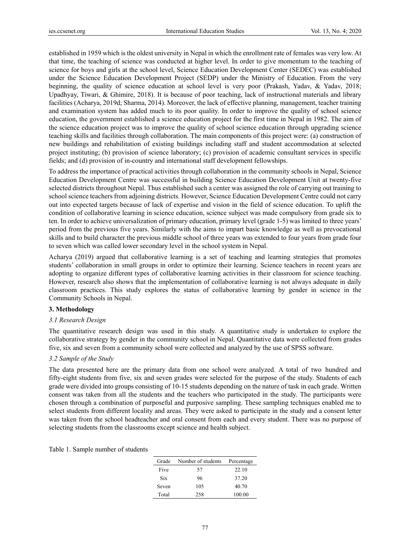established in 1959 which is the oldest university in Nepal in which the enrollment rate of females was very low. At that time, the teaching of science was conducted at higher level. In order to give momentum to the teaching of science for boys and girls at the school level, Science Education Development Center (SEDEC) was established under the Science Education Development Project (SEDP) under the Ministry of Education. From the very beginning, the quality of science education at school level is very poor (Prakash, Yadav, & Yadav, 2018; Upadhyay, Tiwari, & Ghimire, 2018). It is because of poor teaching, lack of instructional materials and library facilities (Acharya, 2019d; Sharma, 2014). Moreover, the lack of effective planning, management, teacher training and examination system has added much to its poor quality. In order to improve the quality of school science education, the government established a science education project for the first time in Nepal in 1982. The aim of the science education project was to improve the quality of school science education through upgrading science teaching skills and facilities through collaboration. The main components of this project were: (a) construction of new buildings and rehabilitation of existing buildings including staff and student accommodation at selected project instituting; (b) provision of science laboratory; (c) provision of academic consultant services in specific fields; and (d) provision of in-country and international staff development fellowships.

To address the importance of practical activities through collaboration in the community schools in Nepal, Science Education Development Centre was successful in building Science Education Development Unit at twenty-five selected districts throughout Nepal. Thus established such a center was assigned the role of carrying out training to school science teachers from adjoining districts. However, Science Education Development Centre could not carry out into expected targets because of lack of expertise and vision in the field of science education. To uplift the condition of collaborative learning in science education, science subject was made compulsory from grade six to ten. In order to achieve universalization of primary education, primary level (grade 1-5) was limited to three years' period from the previous five years. Similarly with the aims to impart basic knowledge as well as prevocational skills and to build character the previous middle school of three years was extended to four years from grade four to seven which was called lower secondary level in the school system in Nepal.

Acharya (2019) argued that collaborative learning is a set of teaching and learning strategies that promotes students' collaboration in small groups in order to optimize their learning. Science teachers in recent years are adopting to organize different types of collaborative learning activities in their classroom for science teaching. However, research also shows that the implementation of collaborative learning is not always adequate in daily classroom practices. This study explores the status of collaborative learning by gender in science in the Community Schools in Nepal.

#### **3. Methodology**

## *3.1 Research Design*

The quantitative research design was used in this study. A quantitative study is undertaken to explore the collaborative strategy by gender in the community school in Nepal. Quantitative data were collected from grades five, six and seven from a community school were collected and analyzed by the use of SPSS software.

## *3.2 Sample of the Study*

The data presented here are the primary data from one school were analyzed. A total of two hundred and fifty-eight students from five, six and seven grades were selected for the purpose of the study. Students of each grade were divided into groups consisting of 10-15 students depending on the nature of task in each grade. Written consent was taken from all the students and the teachers who participated in the study. The participants were chosen through a combination of purposeful and purposive sampling. These sampling techniques enabled me to select students from different locality and areas. They were asked to participate in the study and a consent letter was taken from the school headteacher and oral consent from each and every student. There was no purpose of selecting students from the classrooms except science and health subject.

|  |  |  |  | Table 1. Sample number of students |
|--|--|--|--|------------------------------------|
|--|--|--|--|------------------------------------|

| Grade | Number of students | Percentage |
|-------|--------------------|------------|
| Five  | 57                 | 22.10      |
| Six   | 96                 | 37.20      |
| Seven | 105                | 40.70      |
| Total | 258                | 100.00     |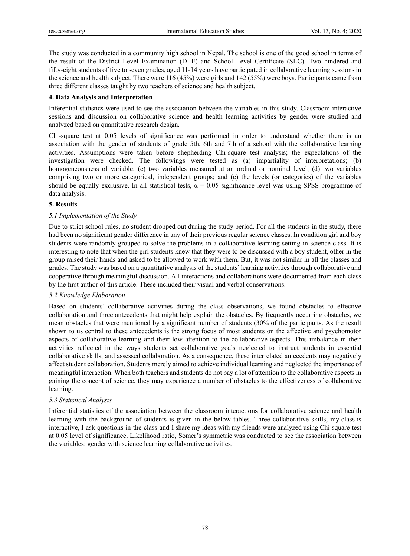The study was conducted in a community high school in Nepal. The school is one of the good school in terms of the result of the District Level Examination (DLE) and School Level Certificate (SLC). Two hindered and fifty-eight students of five to seven grades, aged 11-14 years have participated in collaborative learning sessions in the science and health subject. There were 116 (45%) were girls and 142 (55%) were boys. Participants came from three different classes taught by two teachers of science and health subject.

## **4. Data Analysis and Interpretation**

Inferential statistics were used to see the association between the variables in this study. Classroom interactive sessions and discussion on collaborative science and health learning activities by gender were studied and analyzed based on quantitative research design.

Chi-square test at 0.05 levels of significance was performed in order to understand whether there is an association with the gender of students of grade 5th, 6th and 7th of a school with the collaborative learning activities. Assumptions were taken before shepherding Chi-square test analysis; the expectations of the investigation were checked. The followings were tested as (a) impartiality of interpretations; (b) homogeneousness of variable; (c) two variables measured at an ordinal or nominal level; (d) two variables comprising two or more categorical, independent groups; and (e) the levels (or categories) of the variables should be equally exclusive. In all statistical tests,  $\alpha = 0.05$  significance level was using SPSS programme of data analysis.

# **5. Results**

# *5.1 Implementation of the Study*

Due to strict school rules, no student dropped out during the study period. For all the students in the study, there had been no significant gender difference in any of their previous regular science classes. In condition girl and boy students were randomly grouped to solve the problems in a collaborative learning setting in science class. It is interesting to note that when the girl students knew that they were to be discussed with a boy student, other in the group raised their hands and asked to be allowed to work with them. But, it was not similar in all the classes and grades. The study was based on a quantitative analysis of the students' learning activities through collaborative and cooperative through meaningful discussion. All interactions and collaborations were documented from each class by the first author of this article. These included their visual and verbal conservations.

## *5.2 Knowledge Elaboration*

Based on students' collaborative activities during the class observations, we found obstacles to effective collaboration and three antecedents that might help explain the obstacles. By frequently occurring obstacles, we mean obstacles that were mentioned by a significant number of students (30% of the participants. As the result shown to us central to these antecedents is the strong focus of most students on the affective and psychomotor aspects of collaborative learning and their low attention to the collaborative aspects. This imbalance in their activities reflected in the ways students set collaborative goals neglected to instruct students in essential collaborative skills, and assessed collaboration. As a consequence, these interrelated antecedents may negatively affect student collaboration. Students merely aimed to achieve individual learning and neglected the importance of meaningful interaction. When both teachers and students do not pay a lot of attention to the collaborative aspects in gaining the concept of science, they may experience a number of obstacles to the effectiveness of collaborative learning.

## *5.3 Statistical Analysis*

Inferential statistics of the association between the classroom interactions for collaborative science and health learning with the background of students is given in the below tables. Three collaborative skills, my class is interactive, I ask questions in the class and I share my ideas with my friends were analyzed using Chi square test at 0.05 level of significance, Likelihood ratio, Somer's symmetric was conducted to see the association between the variables: gender with science learning collaborative activities.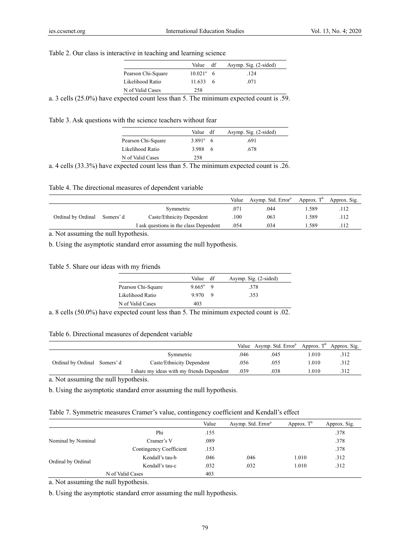## Table 2. Our class is interactive in teaching and learning science

|                    | Value df         | Asymp. Sig. (2-sided) |  |
|--------------------|------------------|-----------------------|--|
| Pearson Chi-Square | $10.021^a$ 6     | .124                  |  |
| Likelihood Ratio   | $11.633 \quad 6$ | .071                  |  |
| N of Valid Cases   | 258              |                       |  |

a. 3 cells (25.0%) have expected count less than 5. The minimum expected count is .59.

Table 3. Ask questions with the science teachers without fear

|                    | Value df          | Asymp. Sig. (2-sided) |
|--------------------|-------------------|-----------------------|
| Pearson Chi-Square | $3.891^{\circ}$ 6 | .691                  |
| Likelihood Ratio   | 3.988 6           | .678                  |
| N of Valid Cases   | 258               |                       |

a. 4 cells (33.3%) have expected count less than 5. The minimum expected count is .26.

Table 4. The directional measures of dependent variable

|                             |                                        | Value | Asymp. Std. Error <sup>a</sup> | Approx. $T^b$ | Approx. Sig. |
|-----------------------------|----------------------------------------|-------|--------------------------------|---------------|--------------|
|                             | Symmetric                              | 071   | .044                           | 1.589         |              |
| Ordinal by Ordinal Somers'd | Caste/Ethnicity Dependent              | .100  | .063                           | 1.589         | .112         |
|                             | I ask questions in the class Dependent | .054  | 034                            | . 589         |              |

a. Not assuming the null hypothesis.

b. Using the asymptotic standard error assuming the null hypothesis.

Table 5. Share our ideas with my friends

|                    | Value           | df | Asymp. Sig. (2-sided) |
|--------------------|-----------------|----|-----------------------|
| Pearson Chi-Square | $9.665^{\circ}$ |    | -378                  |
| Likelihood Ratio   | 9.970           |    | 353                   |
| N of Valid Cases   | 403             |    |                       |
| $\sim$ 1           | - -             |    | $\sim$ 1<br>$\sim$    |

a. 8 cells (50.0%) have expected count less than 5. The minimum expected count is .02.

### Table 6. Directional measures of dependent variable

|                             |                                            |      | Value Asymp. Std. Error <sup>a</sup> Approx. T <sup>b</sup> Approx. Sig. |      |     |
|-----------------------------|--------------------------------------------|------|--------------------------------------------------------------------------|------|-----|
|                             | Symmetric                                  | .046 | .045                                                                     | .010 | 312 |
| Ordinal by Ordinal Somers'd | Caste/Ethnicity Dependent                  | .056 | .055                                                                     | .010 | 312 |
|                             | I share my ideas with my friends Dependent | .039 | 038                                                                      | .010 |     |

a. Not assuming the null hypothesis.

b. Using the asymptotic standard error assuming the null hypothesis.

|  |  |  | Table 7. Symmetric measures Cramer's value, contingency coefficient and Kendall's effect |  |  |
|--|--|--|------------------------------------------------------------------------------------------|--|--|
|  |  |  |                                                                                          |  |  |

|                                          |                         | Value | Asymp. Std. Error <sup>a</sup> | Approx. $T^b$ | Approx. Sig. |
|------------------------------------------|-------------------------|-------|--------------------------------|---------------|--------------|
|                                          | Phi                     | .155  |                                |               | .378         |
|                                          | Cramer's V              | .089  |                                |               | .378         |
|                                          | Contingency Coefficient | .153  |                                |               | .378         |
| Nominal by Nominal<br>Ordinal by Ordinal | Kendall's tau-b         | .046  | .046                           | 1.010         | .312         |
|                                          | Kendall's tau-c         | .032  | .032                           | 1.010         | .312         |
|                                          | N of Valid Cases        | 403   |                                |               |              |

a. Not assuming the null hypothesis.

b. Using the asymptotic standard error assuming the null hypothesis.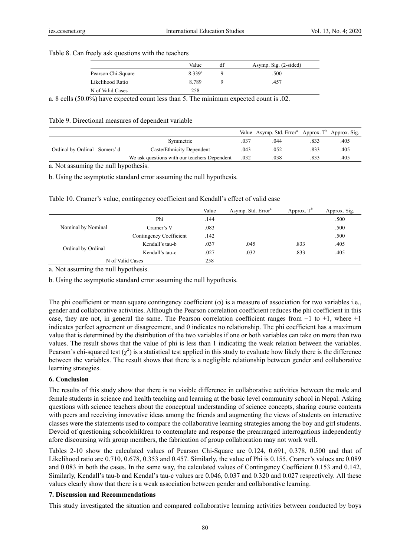#### Table 8. Can freely ask questions with the teachers

|                    | Value                | df | Asymp. Sig. (2-sided) |
|--------------------|----------------------|----|-----------------------|
| Pearson Chi-Square | $8.339$ <sup>a</sup> |    | .500                  |
| Likelihood Ratio   | 8789                 |    | 457                   |
| N of Valid Cases   | 258                  |    |                       |

a. 8 cells (50.0%) have expected count less than 5. The minimum expected count is .02.

Table 9. Directional measures of dependent variable

|                             |                                              |      | Value Asymp. Std. Error <sup>a</sup> Approx. T <sup>b</sup> Approx. Sig. |      |      |
|-----------------------------|----------------------------------------------|------|--------------------------------------------------------------------------|------|------|
|                             | Symmetric                                    | .037 | .044                                                                     | .833 | 405  |
| Ordinal by Ordinal Somers'd | Caste/Ethnicity Dependent                    | .043 | .052                                                                     | .833 | .405 |
|                             | We ask questions with our teachers Dependent | .032 | 038                                                                      | 833  | 405  |

a. Not assuming the null hypothesis.

b. Using the asymptotic standard error assuming the null hypothesis.

|                    |                         | Value | Asymp. Std. Error <sup>a</sup> | Approx. $T^b$ | Approx. Sig. |
|--------------------|-------------------------|-------|--------------------------------|---------------|--------------|
| Nominal by Nominal | Phi                     | .144  |                                |               | .500         |
|                    | Cramer's V              | .083  |                                |               | .500         |
|                    | Contingency Coefficient | .142  |                                |               | .500         |
| Ordinal by Ordinal | Kendall's tau-b         | .037  | .045                           | .833          | .405         |
|                    | Kendall's tau-c         | .027  | .032                           | .833          | .405         |
| N of Valid Cases   |                         | 258   |                                |               |              |

a. Not assuming the null hypothesis.

b. Using the asymptotic standard error assuming the null hypothesis.

The phi coefficient or mean square contingency coefficient (φ) is a measure of association for two variables i.e., gender and collaborative activities. Although the Pearson correlation coefficient reduces the phi coefficient in this case, they are not, in general the same. The Pearson correlation coefficient ranges from −1 to +1, where ±1 indicates perfect agreement or disagreement, and 0 indicates no relationship. The phi coefficient has a maximum value that is determined by the distribution of the two variables if one or both variables can take on more than two values. The result shows that the value of phi is less than 1 indicating the weak relation between the variables. Pearson's chi-squared test  $(\chi^2)$  is a statistical test applied in this study to evaluate how likely there is the difference between the variables. The result shows that there is a negligible relationship between gender and collaborative learning strategies.

### **6. Conclusion**

The results of this study show that there is no visible difference in collaborative activities between the male and female students in science and health teaching and learning at the basic level community school in Nepal. Asking questions with science teachers about the conceptual understanding of science concepts, sharing course contents with peers and receiving innovative ideas among the friends and augmenting the views of students on interactive classes were the statements used to compare the collaborative learning strategies among the boy and girl students. Devoid of questioning schoolchildren to contemplate and response the prearranged interrogations independently afore discoursing with group members, the fabrication of group collaboration may not work well.

Tables 2-10 show the calculated values of Pearson Chi-Square are 0.124, 0.691, 0.378, 0.500 and that of Likelihood ratio are 0.710, 0.678, 0.353 and 0.457. Similarly, the value of Phi is 0.155. Cramer's values are 0.089 and 0.083 in both the cases. In the same way, the calculated values of Contingency Coefficient 0.153 and 0.142. Similarly, Kendall's tau-b and Kendal's tau-c values are 0.046, 0.037 and 0.320 and 0.027 respectively. All these values clearly show that there is a weak association between gender and collaborative learning.

#### **7. Discussion and Recommendations**

This study investigated the situation and compared collaborative learning activities between conducted by boys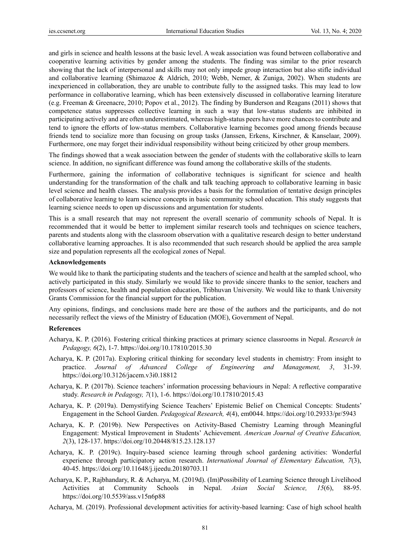and girls in science and health lessons at the basic level. A weak association was found between collaborative and cooperative learning activities by gender among the students. The finding was similar to the prior research showing that the lack of interpersonal and skills may not only impede group interaction but also stifle individual and collaborative learning (Shimazoe & Aldrich, 2010; Webb, Nemer, & Zuniga, 2002). When students are inexperienced in collaboration, they are unable to contribute fully to the assigned tasks. This may lead to low performance in collaborative learning, which has been extensively discussed in collaborative learning literature (e.g. Freeman & Greenacre, 2010; Popov et al., 2012). The finding by Bunderson and Reagans (2011) shows that competence status suppresses collective learning in such a way that low-status students are inhibited in participating actively and are often underestimated, whereas high-status peers have more chances to contribute and tend to ignore the efforts of low-status members. Collaborative learning becomes good among friends because friends tend to socialize more than focusing on group tasks (Janssen, Erkens, Kirschner, & Kanselaar, 2009). Furthermore, one may forget their individual responsibility without being criticized by other group members.

The findings showed that a weak association between the gender of students with the collaborative skills to learn science. In addition, no significant difference was found among the collaborative skills of the students.

Furthermore, gaining the information of collaborative techniques is significant for science and health understanding for the transformation of the chalk and talk teaching approach to collaborative learning in basic level science and health classes. The analysis provides a basis for the formulation of tentative design principles of collaborative learning to learn science concepts in basic community school education. This study suggests that learning science needs to open up discussions and argumentation for students.

This is a small research that may not represent the overall scenario of community schools of Nepal. It is recommended that it would be better to implement similar research tools and techniques on science teachers, parents and students along with the classroom observation with a qualitative research design to better understand collaborative learning approaches. It is also recommended that such research should be applied the area sample size and population represents all the ecological zones of Nepal.

#### **Acknowledgements**

We would like to thank the participating students and the teachers of science and health at the sampled school, who actively participated in this study. Similarly we would like to provide sincere thanks to the senior, teachers and professors of science, health and population education, Tribhuvan University. We would like to thank University Grants Commission for the financial support for the publication.

Any opinions, findings, and conclusions made here are those of the authors and the participants, and do not necessarily reflect the views of the Ministry of Education (MOE), Government of Nepal.

### **References**

- Acharya, K. P. (2016). Fostering critical thinking practices at primary science classrooms in Nepal. *Research in Pedagogy, 6*(2), 1-7. https://doi.org/10.17810/2015.30
- Acharya, K. P. (2017a). Exploring critical thinking for secondary level students in chemistry: From insight to practice. *Journal of Advanced College of Engineering and Management, 3*, 31-39. https://doi.org/10.3126/jacem.v3i0.18812
- Acharya, K. P. (2017b). Science teachers' information processing behaviours in Nepal: A reflective comparative study. *Research in Pedagogy, 7*(1), 1-6. https://doi.org/10.17810/2015.43
- Acharya, K. P. (2019a). Demystifying Science Teachers' Epistemic Belief on Chemical Concepts: Students' Engagement in the School Garden. *Pedagogical Research, 4*(4), em0044. https://doi.org/10.29333/pr/5943
- Acharya, K. P. (2019b). New Perspectives on Activity-Based Chemistry Learning through Meaningful Engagement: Mystical Improvement in Students' Achievement. *American Journal of Creative Education, 2*(3), 128-137. https://doi.org/10.20448/815.23.128.137
- Acharya, K. P. (2019c). Inquiry-based science learning through school gardening activities: Wonderful experience through participatory action research. *International Journal of Elementary Education, 7*(3), 40-45. https://doi.org/10.11648/j.ijeedu.20180703.11
- Acharya, K. P., Rajbhandary, R. & Acharya, M. (2019d). (Im)Possibility of Learning Science through Livelihood Activities at Community Schools in Nepal. *Asian Social Science, 15*(6), 88-95. https://doi.org/10.5539/ass.v15n6p88
- Acharya, M. (2019). Professional development activities for activity-based learning: Case of high school health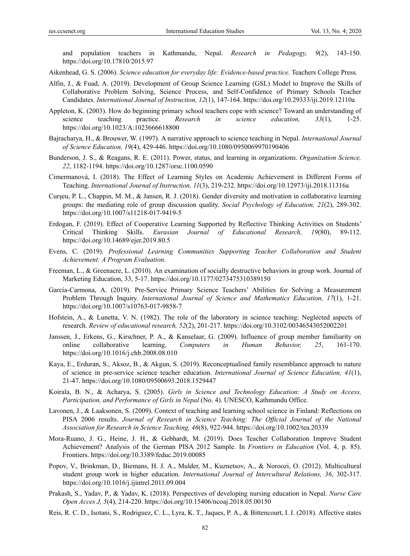and population teachers in Kathmandu, Nepal. *Research in Pedagogy, 9*(2), 143-150. https://doi.org/10.17810/2015.97

Aikenhead, G. S. (2006). *Science education for everyday life: Evidence-based practice*. Teachers College Press.

- Alfin, J., & Fuad, A. (2019). Development of Group Science Learning (GSL) Model to Improve the Skills of Collaborative Problem Solving, Science Process, and Self-Confidence of Primary Schools Teacher Candidates. *International Journal of Instruction, 12*(1), 147-164. https://doi.org/10.29333/iji.2019.12110a
- Appleton, K. (2003). How do beginning primary school teachers cope with science? Toward an understanding of science teaching practice. *Research in science education, 33*(1), 1-25. https://doi.org/10.1023/A:1023666618800
- Bajracharya, H., & Brouwer, W. (1997). A narrative approach to science teaching in Nepal. *International Journal of Science Education, 19*(4), 429-446. https://doi.org/10.1080/0950069970190406
- Bunderson, J. S., & Reagans, R. E. (2011). Power, status, and learning in organizations. *Organization Science, 22*, 1182-1194. https://doi.org/10.1287/orsc.1100.0590
- Cimermanová, I. (2018). The Effect of Learning Styles on Academic Achievement in Different Forms of Teaching. *International Journal of Instruction, 11*(3), 219-232. https://doi.org/10.12973/iji.2018.11316a
- Curşeu, P. L., Chappin, M. M., & Jansen, R. J. (2018). Gender diversity and motivation in collaborative learning groups: the mediating role of group discussion quality. *Social Psychology of Education, 21*(2), 289-302. https://doi.org/10.1007/s11218-017-9419-5
- Erdogan, F. (2019). Effect of Cooperative Learning Supported by Reflective Thinking Activities on Students' Critical Thinking Skills. *Eurasian Journal of Educational Research, 19*(80), 89-112. https://doi.org/10.14689/ejer.2019.80.5
- Evens, C. (2019). *Professional Learning Communities Supporting Teacher Collaboration and Student Achievement: A Program Evaluation*.
- Freeman, L., & Greenacre, L. (2010). An examination of socially destructive behaviors in group work. Journal of Marketing Education, 33, 5-17. https://doi.org/10.1177/0273475310389150
- García-Carmona, A. (2019). Pre-Service Primary Science Teachers' Abilities for Solving a Measurement Problem Through Inquiry. *International Journal of Science and Mathematics Education, 17*(1), 1-21. https://doi.org/10.1007/s10763-017-9858-7
- Hofstein, A., & Lunetta, V. N. (1982). The role of the laboratory in science teaching: Neglected aspects of research. *Review of educational research, 52*(2), 201-217. https://doi.org/10.3102/00346543052002201
- Janssen, J., Erkens, G., Kirschner, P. A., & Kanselaar, G. (2009). Influence of group member familiarity on online collaborative learning. *Computers in Human Behavior, 25*, 161-170. https://doi.org/10.1016/j.chb.2008.08.010
- Kaya, E., Erduran, S., Aksoz, B., & Akgun, S. (2019). Reconceptualised family resemblance approach to nature of science in pre-service science teacher education. *International Journal of Science Education, 41*(1), 21-47. https://doi.org/10.1080/09500693.2018.1529447
- Koirala, B. N., & Acharya, S. (2005). *Girls in Science and Technology Education: A Study on Access, Participation, and Performance of Girls in Nepal (No. 4). UNESCO, Kathmandu Office.*
- Lavonen, J., & Laaksonen, S. (2009). Context of teaching and learning school science in Finland: Reflections on PISA 2006 results. *Journal of Research in Science Teaching: The Official Journal of the National Association for Research in Science Teaching, 46*(8), 922-944. https://doi.org/10.1002/tea.20339
- Mora-Ruano, J. G., Heine, J. H., & Gebhardt, M. (2019). Does Teacher Collaboration Improve Student Achievement? Analysis of the German PISA 2012 Sample. In *Frontiers in Education* (Vol. 4, p. 85). Frontiers. https://doi.org/10.3389/feduc.2019.00085
- Popov, V., Brinkman, D., Biemans, H. J. A., Mulder, M., Kuznetsov, A., & Noroozi, O. (2012). Multicultural student group work in higher education. *International Journal of Intercultural Relations, 36*, 302-317. https://doi.org/10.1016/j.ijintrel.2011.09.004
- Prakash, S., Yadav, P., & Yadav, K. (2018). Perspectives of developing nursing education in Nepal. *Nurse Care Open Acces J, 5*(4), 214-220. https://doi.org/10.15406/ncoaj.2018.05.00150
- Reis, R. C. D., Isotani, S., Rodriguez, C. L., Lyra, K. T., Jaques, P. A., & Bittencourt, I. I. (2018). Affective states